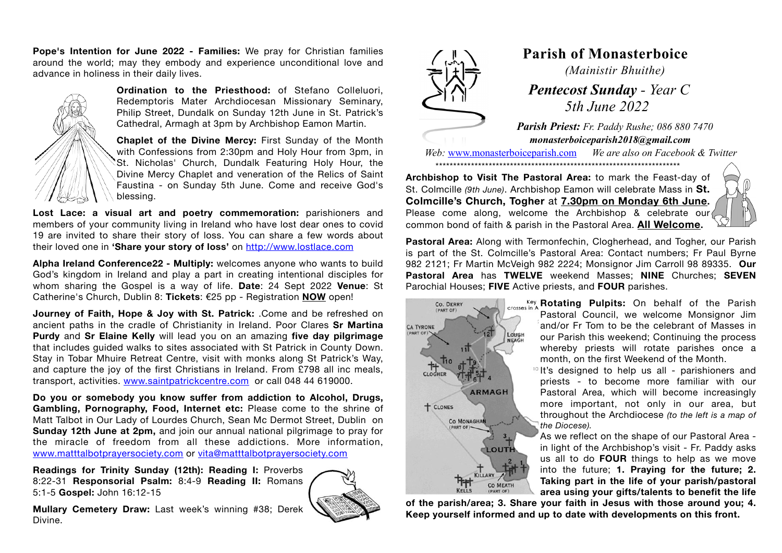**Pope's Intention for June 2022 - Families:** We pray for Christian families around the world; may they embody and experience unconditional love and advance in holiness in their daily lives.



**Ordination to the Priesthood:** of Stefano Colleluori, Redemptoris Mater Archdiocesan Missionary Seminary, Philip Street, Dundalk on Sunday 12th June in St. Patrick's Cathedral, Armagh at 3pm by Archbishop Eamon Martin.

**Chaplet of the Divine Mercy:** First Sunday of the Month with Confessions from 2:30pm and Holy Hour from 3pm, in St. Nicholas' Church, Dundalk Featuring Holy Hour, the Divine Mercy Chaplet and veneration of the Relics of Saint Faustina - on Sunday 5th June. Come and receive God's blessing.

**Lost Lace: a visual art and poetry commemoration:** parishioners and members of your community living in Ireland who have lost dear ones to covid 19 are invited to share their story of loss. You can share a few words about their loved one in **'Share your story of loss'** on <http://www.lostlace.com>

**Alpha Ireland Conference22 - Multiply:** welcomes anyone who wants to build God's kingdom in Ireland and play a part in creating intentional disciples for whom sharing the Gospel is a way of life. **Date**: 24 Sept 2022 **Venue**: St Catherine's Church, Dublin 8: **Tickets**: €25 pp - Registration **NOW** open!

**Journey of Faith, Hope & Joy with St. Patrick:** .Come and be refreshed on ancient paths in the cradle of Christianity in Ireland. Poor Clares **Sr Martina Purdy** and **Sr Elaine Kelly** will lead you on an amazing **five day pilgrimage** that includes guided walks to sites associated with St Patrick in County Down. Stay in Tobar Mhuire Retreat Centre, visit with monks along St Patrick's Way, and capture the joy of the first Christians in Ireland. From £798 all inc meals, transport, activities. [www.saintpatrickcentre.com](http://www.saintpatrickcentre.com) or call 048 44 619000.

**Do you or somebody you know suffer from addiction to Alcohol, Drugs, Gambling, Pornography, Food, Internet etc:** Please come to the shrine of Matt Talbot in Our Lady of Lourdes Church, Sean Mc Dermot Street, Dublin on **Sunday 12th June at 2pm,** and join our annual national pilgrimage to pray for the miracle of freedom from all these addictions. More information, [www.matttalbotprayersociety.com](http://www.matttalbotprayersociety.com) or [vita@matttalbotprayersociety.com](mailto:vita@matttalbotprayersociety.com)

**Readings for Trinity Sunday (12th): Reading I:** Proverbs 8:22-31 **Responsorial Psalm:** 8:4-9 **Reading II:** Romans 5:1-5 **Gospel:** John 16:12-15







## **Parish of Monasterboice**

*(Mainistir Bhuithe)*

 *Pentecost Sunday - Year C 5th June 2022*

*Parish Priest: Fr. Paddy Rushe; 086 880 7470 monasterboiceparish2018@gmail.com* 

*Web:* [www.monasterboiceparish.com](http://www.monasterboiceparish.com) *We are also on Facebook & Twitter* \*\*\*\*\*\*\*\*\*\*\*\*\*\*\*\*\*\*\*\*\*\*\*\*\*\*\*\*\*\*\*\*\*\*\*\*\*\*\*\*\*\*\*\*\*\*\*\*\*\*\*\*\*\*\*\*\*\*\*\*\*\*\*\*\*\*\*\*\*

**Archbishop to Visit The Pastoral Area:** to mark the Feast-day of St. Colmcille *(9th June)*. Archbishop Eamon will celebrate Mass in **St. Colmcille's Church, Togher** at **7.30pm on Monday 6th June.** Please come along, welcome the Archbishop & celebrate our common bond of faith & parish in the Pastoral Area. **All Welcome.** 



**Pastoral Area:** Along with Termonfechin, Clogherhead, and Togher, our Parish is part of the St. Colmcille's Pastoral Area: Contact numbers; Fr Paul Byrne 982 2121; Fr Martin McVeigh 982 2224; Monsignor Jim Carroll 98 89335. **Our Pastoral Area** has **TWELVE** weekend Masses; **NINE** Churches; **SEVEN** Parochial Houses; **FIVE** Active priests, and **FOUR** parishes.



**Rotating Pulpits:** On behalf of the Parish Pastoral Council, we welcome Monsignor Jim and/or Fr Tom to be the celebrant of Masses in our Parish this weekend; Continuing the process whereby priests will rotate parishes once a month, on the first Weekend of the Month.

 $10$  It's designed to help us all - parishioners and priests - to become more familiar with our Pastoral Area, which will become increasingly more important, not only in our area, but throughout the Archdiocese *(to the left is a map of the Diocese).*

As we reflect on the shape of our Pastoral Area in light of the Archbishop's visit - Fr. Paddy asks us all to do **FOUR** things to help as we move into the future; **1. Praying for the future; 2. Taking part in the life of your parish/pastoral area using your gifts/talents to benefit the life** 

**of the parish/area; 3. Share your faith in Jesus with those around you; 4. Keep yourself informed and up to date with developments on this front.**